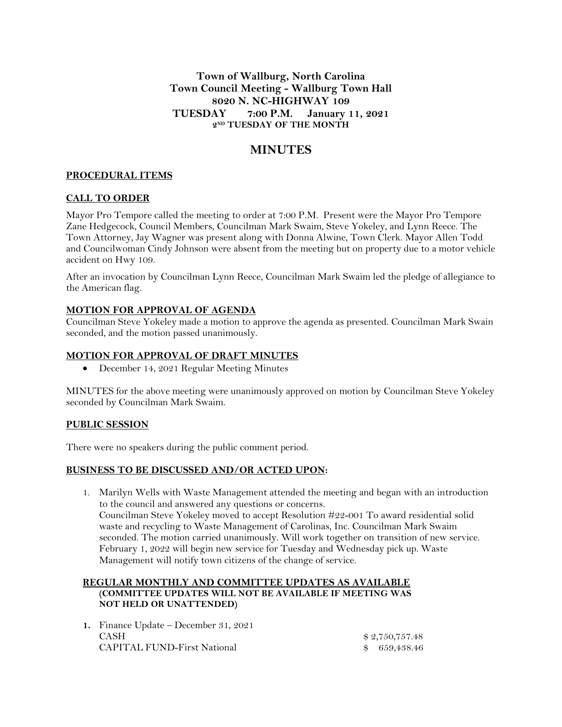**Town of Wallburg, North Carolina Town Council Meeting - Wallburg Town Hall 8020 N. NC-HIGHWAY 109 TUESDAY 7:00 P.M. January 11, 2021 2 ND TUESDAY OF THE MONTH**

# **MINUTES**

## **PROCEDURAL ITEMS**

## **CALL TO ORDER**

Mayor Pro Tempore called the meeting to order at 7:00 P.M. Present were the Mayor Pro Tempore Zane Hedgecock, Council Members, Councilman Mark Swaim, Steve Yokeley, and Lynn Reece. The Town Attorney, Jay Wagner was present along with Donna Alwine, Town Clerk. Mayor Allen Todd and Councilwoman Cindy Johnson were absent from the meeting but on property due to a motor vehicle accident on Hwy 109.

After an invocation by Councilman Lynn Reece, Councilman Mark Swaim led the pledge of allegiance to the American flag.

## **MOTION FOR APPROVAL OF AGENDA**

Councilman Steve Yokeley made a motion to approve the agenda as presented. Councilman Mark Swain seconded, and the motion passed unanimously.

#### **MOTION FOR APPROVAL OF DRAFT MINUTES**

December 14, 2021 Regular Meeting Minutes

MINUTES for the above meeting were unanimously approved on motion by Councilman Steve Yokeley seconded by Councilman Mark Swaim.

#### **PUBLIC SESSION**

There were no speakers during the public comment period.

#### **BUSINESS TO BE DISCUSSED AND/OR ACTED UPON:**

1. Marilyn Wells with Waste Management attended the meeting and began with an introduction to the council and answered any questions or concerns. Councilman Steve Yokeley moved to accept Resolution #22-001 To award residential solid waste and recycling to Waste Management of Carolinas, Inc. Councilman Mark Swaim seconded. The motion carried unanimously. Will work together on transition of new service. February 1, 2022 will begin new service for Tuesday and Wednesday pick up. Waste Management will notify town citizens of the change of service.

### **REGULAR MONTHLY AND COMMITTEE UPDATES AS AVAILABLE (COMMITTEE UPDATES WILL NOT BE AVAILABLE IF MEETING WAS NOT HELD OR UNATTENDED)**

| 1. Finance Update – December 31, 2021 |                |
|---------------------------------------|----------------|
| <b>CASH</b>                           | \$2.750.757.48 |
| <b>CAPITAL FUND-First National</b>    | \$ 659,438.46  |